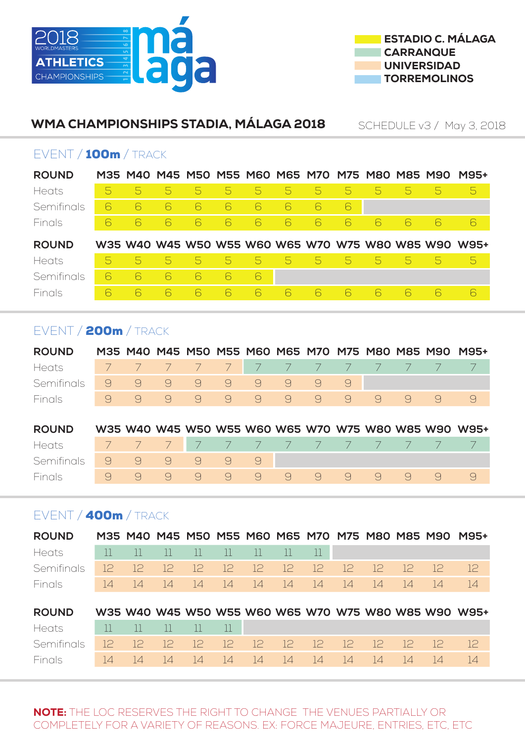



#### WMA CHAMPIONSHIPS STADIA, MÁLAGA 2018 SCHEDULE v3 / May 3, 2018

#### EVENT / 100m / TRACK

| <b>ROUND</b> |   |   |   |                          |    |             |       |                |                |          |    | M35 M40 M45 M50 M55 M60 M65 M70 M75 M80 M85 M90 | <b>M95+</b>                                          |
|--------------|---|---|---|--------------------------|----|-------------|-------|----------------|----------------|----------|----|-------------------------------------------------|------------------------------------------------------|
| Heats        | 5 | 5 | 5 | $\overline{\mathcal{L}}$ | 5. | 5.          | 5.    | $\overline{D}$ | $\overline{D}$ | 5        | 5. | 5                                               | 5                                                    |
| Semifinals   | 6 | 6 | 6 | 6                        | ĥ  | 6           | 6     | 6              | 6              |          |    |                                                 |                                                      |
| Finals       | 6 | 6 | 6 | 6                        | 6  | 6           | 6     | 6              | 6              | 6        | 6  | 6                                               | 6                                                    |
|              |   |   |   |                          |    |             |       |                |                |          |    |                                                 |                                                      |
| <b>ROUND</b> |   |   |   |                          |    |             |       |                |                |          |    |                                                 | W35 W40 W45 W50 W55 W60 W65 W70 W75 W80 W85 W90 W95+ |
| Heats        | b | 5 | 5 | $5^{\circ}$              | 5  | $5^{\circ}$ | $5 -$ | $\overline{D}$ | $\Delta$       | $\Delta$ | 5. | 5                                               | $\overline{D}$                                       |
| Semifinals   | 6 | 6 | 6 | 6                        | 6  | 6           |       |                |                |          |    |                                                 |                                                      |

# EVENT / 200m / TRACK

| <b>ROUND</b>                    |  |  |  |  |  |                             | M35 M40 M45 M50 M55 M60 M65 M70 M75 M80 M85 M90 M95+ |
|---------------------------------|--|--|--|--|--|-----------------------------|------------------------------------------------------|
| Heats 7 7 7 7 7 7 7 7 7 7 7 7 7 |  |  |  |  |  |                             |                                                      |
| Semifinals 9 9 9 9 9 9 9 9 9    |  |  |  |  |  |                             |                                                      |
| Finals                          |  |  |  |  |  | 0 9 9 9 9 9 9 9 9 9 9 9 9 9 |                                                      |
|                                 |  |  |  |  |  |                             |                                                      |

| <b>ROUND</b>                      |  |  |  |  |                           |  | W35 W40 W45 W50 W55 W60 W65 W70 W75 W80 W85 W90 W95+ |
|-----------------------------------|--|--|--|--|---------------------------|--|------------------------------------------------------|
| Heats 7 7 7 7 7 7 7 7 7 7 7 7 7 7 |  |  |  |  |                           |  |                                                      |
| Semifinals 9 9 9 9 9 9            |  |  |  |  |                           |  |                                                      |
| Finals                            |  |  |  |  | 0 9 9 9 9 9 9 9 9 9 9 9 9 |  |                                                      |

# EVENT / 400m / TRACK

| <b>ROUND</b>                                        |                                                                       |                                                                                     |  |  |  |  |                                        | M35 M40 M45 M50 M55 M60 M65 M70 M75 M80 M85 M90 M95+ |
|-----------------------------------------------------|-----------------------------------------------------------------------|-------------------------------------------------------------------------------------|--|--|--|--|----------------------------------------|------------------------------------------------------|
| Heats                                               | $\begin{bmatrix} 11 & 11 & 11 & 11 & 11 & 11 & 11 & 11 \end{bmatrix}$ |                                                                                     |  |  |  |  |                                        |                                                      |
| Semifinals                                          |                                                                       |                                                                                     |  |  |  |  | 12 12 12 12 12 12 12 12 12 12 12 12 12 | 12                                                   |
| Finals                                              |                                                                       |                                                                                     |  |  |  |  | 14 14 14 14 14 14 14 14 14 14 14 14 14 | $\overline{14}$                                      |
|                                                     |                                                                       |                                                                                     |  |  |  |  |                                        |                                                      |
| <b>ROUND</b>                                        |                                                                       |                                                                                     |  |  |  |  |                                        | W35 W40 W45 W50 W55 W60 W65 W70 W75 W80 W85 W90 W95+ |
| $\mathbf{1}$ $\mathbf{1}$ $\mathbf{1}$ $\mathbf{1}$ |                                                                       | $\mathbf{11}$ $\mathbf{11}$ $\mathbf{11}$ $\mathbf{11}$ $\mathbf{11}$ $\mathbf{11}$ |  |  |  |  |                                        |                                                      |

| Heats 11 11 11 11 11 1                            |  |  |  |  |  |  |  |
|---------------------------------------------------|--|--|--|--|--|--|--|
| Semifinals 12 12 12 12 12 12 12 12 12 12 12 12 12 |  |  |  |  |  |  |  |
|                                                   |  |  |  |  |  |  |  |

NOTE: THE LOC RESERVES THE RIGHT TO CHANGE THE VENUES PARTIALLY OR COMPLETELY FOR A VARIETY OF REASONS. EX: FORCE MAJEURE, ENTRIES, ETC, ETC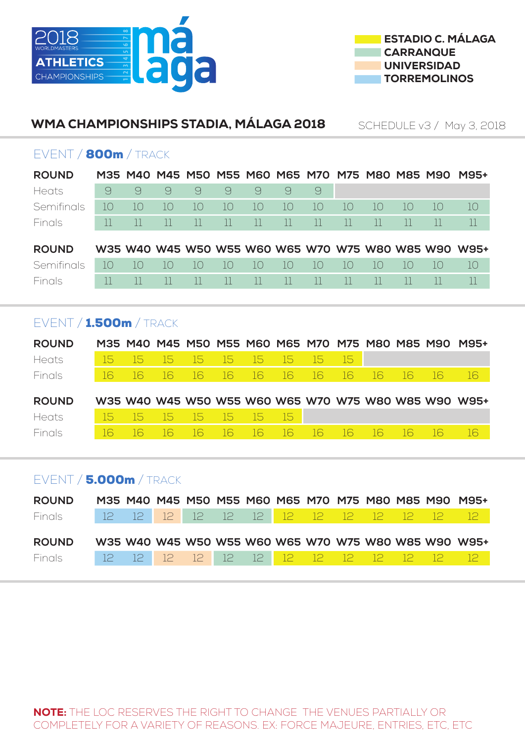



#### WMA CHAMPIONSHIPS STADIA, MÁLAGA 2018 SCHEDULE v3 / May 3, 2018

#### EVENT / 800m / TRACK

| <b>ROUND</b>  |    |                  |                             |                  |              |          |          |                   |                  | M35 M40 M45 M50 M55 M60 M65 M70 M75 M80 M85 M90 |                   |    | <b>M95+</b>                                          |
|---------------|----|------------------|-----------------------------|------------------|--------------|----------|----------|-------------------|------------------|-------------------------------------------------|-------------------|----|------------------------------------------------------|
| Heats         | 9  | 9                | 9                           | 9                | 9            | 9        | 9        | 9                 |                  |                                                 |                   |    |                                                      |
| Semifinals    | 10 | $10^{-}$         | $\overline{\phantom{a}}$ () | 10               | 10           | $10^{-}$ | 10       | $\overline{1}$ () | $\overline{1}$ ( | 10                                              | $\overline{1}$ () | 10 | 10                                                   |
| Finals        | Ш  | $\mathbf{H}$     |                             | $\Box$           | $\mathbf{H}$ | 11       | $\Box$   | $\Box$            |                  |                                                 |                   |    |                                                      |
| <b>ROUND</b>  |    |                  |                             |                  |              |          |          |                   |                  |                                                 |                   |    | W35 W40 W45 W50 W55 W60 W65 W70 W75 W80 W85 W90 W95+ |
|               |    |                  |                             |                  |              |          |          |                   |                  |                                                 |                   |    |                                                      |
| Semifinals    | 10 | $\overline{1}$ ( | 10                          | $\overline{1}$ ( | $1\Omega$    | 10       | $10^{-}$ | $1\Omega$         | $1\cap$          | $1\Omega$                                       | $\vert \vert$ ( ) | 10 | 10 <sup>°</sup>                                      |
| <b>Finals</b> |    |                  |                             |                  |              |          |          |                   |                  |                                                 |                   |    |                                                      |

# EVENT / 1.500m / TRACK

| <b>ROUND</b>  |             |  |                         |  |  |       |      |          | M35 M40 M45 M50 M55 M60 M65 M70 M75 M80 M85 M90 M95+ |
|---------------|-------------|--|-------------------------|--|--|-------|------|----------|------------------------------------------------------|
| Heats         | <b>TISP</b> |  | 15 15 15 15 15 15 15    |  |  | 457   |      |          |                                                      |
| <b>Finals</b> |             |  | 16 16 16 16 16 16 16 16 |  |  | $-16$ | - 16 | -16 - 16 | 16                                                   |
|               |             |  |                         |  |  |       |      |          |                                                      |
|               |             |  |                         |  |  |       |      |          |                                                      |
| <b>ROUND</b>  |             |  |                         |  |  |       |      |          | W35 W40 W45 W50 W55 W60 W65 W70 W75 W80 W85 W90 W95+ |
| Heats         | - 15.       |  | - 15 15 15 15 15 15     |  |  |       |      |          |                                                      |

# EVENT / 5.000m / TRACK

| <b>ROUND</b>                                  |  |  |  |  |  |  | M35 M40 M45 M50 M55 M60 M65 M70 M75 M80 M85 M90 M95+ |
|-----------------------------------------------|--|--|--|--|--|--|------------------------------------------------------|
| Finals 12 12 12 12 12 12 12 12 12 12 12 12 12 |  |  |  |  |  |  |                                                      |
|                                               |  |  |  |  |  |  |                                                      |
| <b>ROUND</b>                                  |  |  |  |  |  |  | W35 W40 W45 W50 W55 W60 W65 W70 W75 W80 W85 W90 W95+ |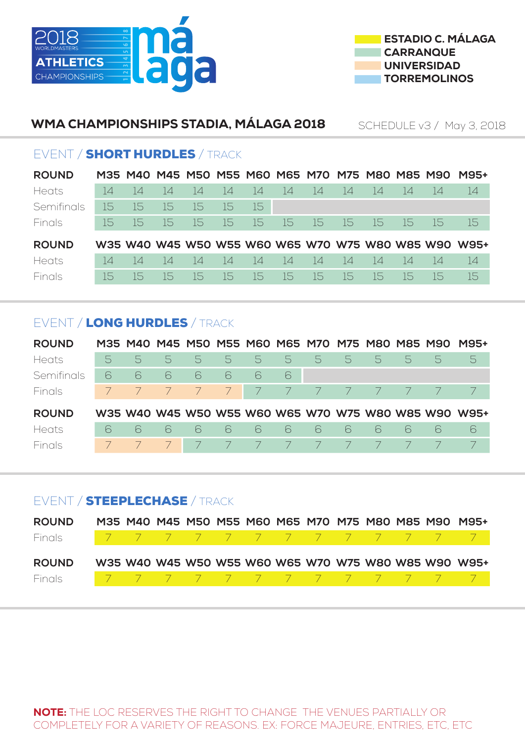



# WMA CHAMPIONSHIPS STADIA, MÁLAGA 2018

SCHEDULE v3 / May 3, 2018

# EVENT / SHORT HURDLES / TRACK

| <b>ROUND</b> |                 |      |        |     |        |                 |     |     |        |        |                 |     | M35 M40 M45 M50 M55 M60 M65 M70 M75 M80 M85 M90 M95+ |
|--------------|-----------------|------|--------|-----|--------|-----------------|-----|-----|--------|--------|-----------------|-----|------------------------------------------------------|
| Heats        | $\overline{14}$ | 4    | $\Box$ | 14  | $\Box$ | 14              | -14 | -14 | $\Box$ | 4      | 4               | 4   | 14                                                   |
| Semifinals   | -15             | 15   | -15    | -15 | -15    | -15             |     |     |        |        |                 |     |                                                      |
| Finals       | -15             | -15. | -15    | 15  | -15    | 15              | 15  | -15 | -15    | 15     | -15             | -15 | -15                                                  |
| <b>ROUND</b> |                 |      |        |     |        |                 |     |     |        |        |                 |     | W35 W40 W45 W50 W55 W60 W65 W70 W75 W80 W85 W90 W95+ |
| Heats        | $\Box$          | 4    | $\Box$ | 14  | -14    | $\overline{14}$ | 14  | -14 | -14    | $\Box$ | $\overline{14}$ | 4   | 14                                                   |
| Finals       | -15             | 15.  | -15    | 15. | 15     | -15             | -15 | -15 | 15     | -15    | 15              | ר   | 15                                                   |

# EVENT / LONG HURDLES / TRACK

| <b>ROUND</b> |   |                |                          |                |                |      |                |   |            | M35 M40 M45 M50 M55 M60 M65 M70 M75 M80 M85 M90 |    |   | <b>M95+</b>                                          |
|--------------|---|----------------|--------------------------|----------------|----------------|------|----------------|---|------------|-------------------------------------------------|----|---|------------------------------------------------------|
| Heats        | 5 | $\overline{D}$ | 5.                       | 5              | 5              | $-5$ | 5              | 5 | 5.         | $\overline{D}$                                  | 5. | 5 | 5                                                    |
| Semifinals   | 6 | 6              | 6                        | 6              | 6              | 6    | 6              |   |            |                                                 |    |   |                                                      |
| Finals       |   |                | $\overline{\phantom{a}}$ | $\overline{7}$ | 7 <sup>1</sup> |      | $\overline{7}$ | 7 | $\sqrt{2}$ | $\sqrt{2}$                                      |    |   |                                                      |
| <b>ROUND</b> |   |                |                          |                |                |      |                |   |            |                                                 |    |   | W35 W40 W45 W50 W55 W60 W65 W70 W75 W80 W85 W90 W95+ |
| Heats        | 6 | 6              | 6                        | 6              | 6              | 6    | 6              | 6 | 6          | 6                                               | -6 | 6 | 6                                                    |
| Finals       |   |                |                          |                |                |      |                |   |            |                                                 |    |   |                                                      |

# EVENT / STEEPLECHASE / TRACK

| <b>ROUND</b> |  |  |  |  |  |  | M35 M40 M45 M50 M55 M60 M65 M70 M75 M80 M85 M90 M95+ |
|--------------|--|--|--|--|--|--|------------------------------------------------------|
| Finals       |  |  |  |  |  |  | 77777777777777                                       |
| <b>ROUND</b> |  |  |  |  |  |  | W35 W40 W45 W50 W55 W60 W65 W70 W75 W80 W85 W90 W95+ |
| Finals       |  |  |  |  |  |  | 77777777777777                                       |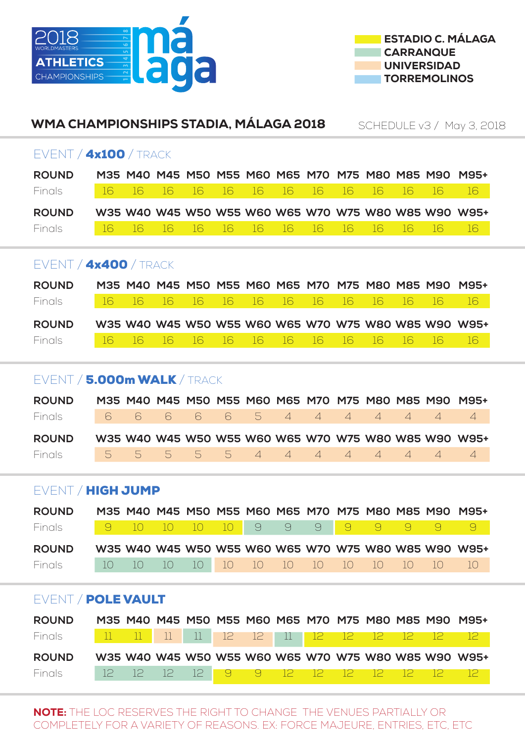



| WMA CHAMPIONSHIPS STADIA, MÁLAGA 2018                                                |                                                                                                                                                                                                                      |    |    |                                                 |    |                 |                |                |                |                |                |                | SCHEDULE v3 / May 3, 2018                            |  |  |
|--------------------------------------------------------------------------------------|----------------------------------------------------------------------------------------------------------------------------------------------------------------------------------------------------------------------|----|----|-------------------------------------------------|----|-----------------|----------------|----------------|----------------|----------------|----------------|----------------|------------------------------------------------------|--|--|
| EVENT / 4x100 / TRACK                                                                |                                                                                                                                                                                                                      |    |    |                                                 |    |                 |                |                |                |                |                |                |                                                      |  |  |
| <b>ROUND</b>                                                                         | M35 M40 M45 M50 M55 M60 M65 M70 M75 M80 M85 M90 M95+<br>16<br>16<br>16<br>16<br>16<br>16<br>16<br>16<br>16<br>16<br>16<br>16<br>16<br>Finals<br>W35 W40 W45 W50 W55 W60 W65 W70 W75 W80 W85 W90 W95+<br><b>ROUND</b> |    |    |                                                 |    |                 |                |                |                |                |                |                |                                                      |  |  |
| 16<br>16<br>16<br>16<br>16<br>16<br>16<br>16<br>16<br>Finals<br>16<br>16<br>16<br>16 |                                                                                                                                                                                                                      |    |    |                                                 |    |                 |                |                |                |                |                |                |                                                      |  |  |
| EVENT / 4x400 / TRACK                                                                |                                                                                                                                                                                                                      |    |    |                                                 |    |                 |                |                |                |                |                |                |                                                      |  |  |
|                                                                                      |                                                                                                                                                                                                                      |    |    |                                                 |    |                 |                |                |                |                |                |                |                                                      |  |  |
|                                                                                      |                                                                                                                                                                                                                      |    |    |                                                 |    |                 |                |                |                |                |                |                |                                                      |  |  |
|                                                                                      |                                                                                                                                                                                                                      |    |    |                                                 |    |                 |                |                |                |                |                |                |                                                      |  |  |
| <b>ROUND</b>                                                                         |                                                                                                                                                                                                                      |    |    | M35 M40 M45 M50 M55 M60 M65 M70 M75 M80 M85 M90 |    |                 |                |                |                |                |                |                | M95+                                                 |  |  |
| Finals                                                                               | 16                                                                                                                                                                                                                   | 16 | 16 | 16                                              | 16 | 16              | 16             | 16             | 16             | 16             | 16             | 16             | 16                                                   |  |  |
| <b>ROUND</b>                                                                         |                                                                                                                                                                                                                      |    |    |                                                 |    |                 |                |                |                |                |                |                | W35 W40 W45 W50 W55 W60 W65 W70 W75 W80 W85 W90 W95+ |  |  |
| Finals                                                                               | 16                                                                                                                                                                                                                   | 16 | 16 | 16                                              | 16 | 16              | 16             | 16             | 16             | 16             | 16             | 16             | 16                                                   |  |  |
|                                                                                      |                                                                                                                                                                                                                      |    |    |                                                 |    |                 |                |                |                |                |                |                |                                                      |  |  |
| EVENT / 5.000m WALK / TRACK                                                          |                                                                                                                                                                                                                      |    |    |                                                 |    |                 |                |                |                |                |                |                |                                                      |  |  |
| <b>ROUND</b>                                                                         |                                                                                                                                                                                                                      |    |    |                                                 |    |                 |                |                |                |                |                |                | M35 M40 M45 M50 M55 M60 M65 M70 M75 M80 M85 M90 M95+ |  |  |
| Finals                                                                               | 6                                                                                                                                                                                                                    | 6  | 6  | 6                                               | 6  | 5               | $\overline{4}$ | $\overline{4}$ | $\overline{4}$ | $\overline{4}$ | $\overline{4}$ | $\overline{4}$ | $\overline{4}$                                       |  |  |
| <b>ROUND</b>                                                                         |                                                                                                                                                                                                                      |    |    |                                                 |    |                 |                |                |                |                |                |                | W35 W40 W45 W50 W55 W60 W65 W70 W75 W80 W85 W90 W95+ |  |  |
| Finals                                                                               | 5                                                                                                                                                                                                                    | 5  | 5  | 5                                               | 5  | $\overline{4}$  | $\overline{4}$ | $\overline{4}$ | $\overline{4}$ | $\overline{4}$ | $\overline{4}$ | $\overline{4}$ | $\overline{4}$                                       |  |  |
|                                                                                      |                                                                                                                                                                                                                      |    |    |                                                 |    |                 |                |                |                |                |                |                |                                                      |  |  |
| EVENT / HIGH JUMP                                                                    |                                                                                                                                                                                                                      |    |    |                                                 |    |                 |                |                |                |                |                |                |                                                      |  |  |
| <b>ROUND</b>                                                                         |                                                                                                                                                                                                                      |    |    |                                                 |    |                 |                |                |                |                |                |                | M35 M40 M45 M50 M55 M60 M65 M70 M75 M80 M85 M90 M95+ |  |  |
| Finals                                                                               | $\Theta$                                                                                                                                                                                                             | 10 | 10 | 10                                              | 10 | $\Theta$        | 9              | $\Theta$       | 9              | 9              | 9              | $\Theta$       | 9                                                    |  |  |
| <b>ROUND</b>                                                                         |                                                                                                                                                                                                                      |    |    |                                                 |    |                 |                |                |                |                |                |                | W35 W40 W45 W50 W55 W60 W65 W70 W75 W80 W85 W90 W95+ |  |  |
| Finals                                                                               | 10                                                                                                                                                                                                                   | 10 | 10 | 10                                              | 10 | 10 <sup>°</sup> | 10             | 10             | 10             | 10             | 10             | 10             | 10 <sup>°</sup>                                      |  |  |
|                                                                                      |                                                                                                                                                                                                                      |    |    |                                                 |    |                 |                |                |                |                |                |                |                                                      |  |  |
| EVENT / POLE VAULT                                                                   |                                                                                                                                                                                                                      |    |    |                                                 |    |                 |                |                |                |                |                |                |                                                      |  |  |
| <b>ROUND</b>                                                                         |                                                                                                                                                                                                                      |    |    | 77                                              |    |                 |                |                |                |                |                |                | M35 M40 M45 M50 M55 M60 M65 M70 M75 M80 M85 M90 M95+ |  |  |

| Finals        |  |  |  |  | 11 12 12 11 12 12 12                              |  |                                                      |
|---------------|--|--|--|--|---------------------------------------------------|--|------------------------------------------------------|
| <b>ROUND</b>  |  |  |  |  |                                                   |  | W35 W40 W45 W50 W55 W60 W65 W70 W75 W80 W85 W90 W95+ |
| <b>Finals</b> |  |  |  |  | 12 12 12 1 <mark>3 9</mark> 9 12 12 12 12 12 12 1 |  |                                                      |

NOTE: THE LOC RESERVES THE RIGHT TO CHANGE THE VENUES PARTIALLY OR COMPLETELY FOR A VARIETY OF REASONS. EX: FORCE MAJEURE, ENTRIES, ETC, ETC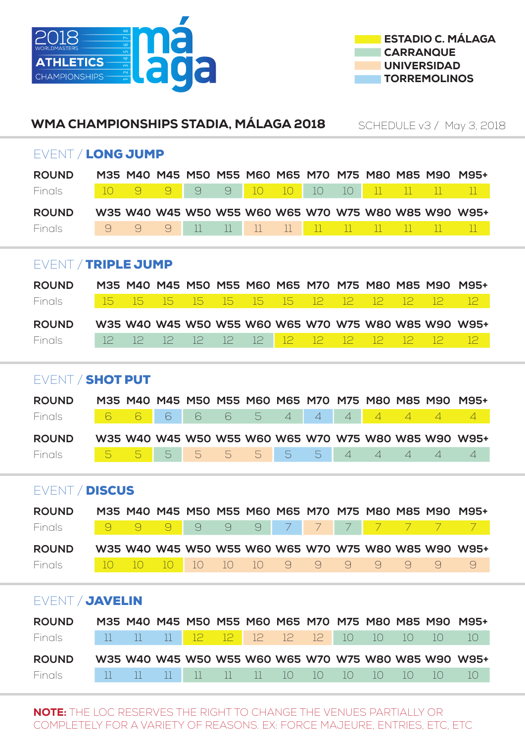



# EVENT / LONG JUMP **ROUND M35 M40 M45 M50 M55 M60 M65 M70 M75 M80 M85 M90 M95+** Finals 10 9 9 9 9 10 10 10 10 11 11 11 11 **ROUND W35 W40 W45 W50 W55 W60 W65 W70 W75 W80 W85 W90 W95+** Finals 9 9 9 11 11 11 11 11 11 11 11 11 11 EVENT / TRIPLE JUMP **ROUND M35 M40 M45 M50 M55 M60 M65 M70 M75 M80 M85 M90 M95+** Finals 15 15 15 15 15 15 15 12 12 12 12 12 12 **ROUND W35 W40 W45 W50 W55 W60 W65 W70 W75 W80 W85 W90 W95+** Finals 12 12 12 12 12 12 12 12 12 12 12 12 EVENT / SHOT PUT **ROUND M35 M40 M45 M50 M55 M60 M65 M70 M75 M80 M85 M90 M95+** Finals 6 6 6 6 6 6 5 4 4 4 4 4 4 4 4 **ROUND W35 W40 W45 W50 W55 W60 W65 W70 W75 W80 W85 W90 W95+** Finals 5 5 5 5 5 5 5 5 4 4 4 4 4 EVENT / DISCUS **ROUND M35 M40 M45 M50 M55 M60 M65 M70 M75 M80 M85 M90 M95+** Finals <mark>9999999977777777</mark> **ROUND W35 W40 W45 W50 W55 W60 W65 W70 W75 W80 W85 W90 W95+** Finals 10 10 10 10 10 10 9 9 9 9 9 9 9 EVENT / JAVELIN WMA CHAMPIONSHIPS STADIA, MÁLAGA 2018 SCHEDULE v3 / May 3, 2018

| <b>ROUND</b> |  |  |  |  |  |  | M35 M40 M45 M50 M55 M60 M65 M70 M75 M80 M85 M90 M95+ |
|--------------|--|--|--|--|--|--|------------------------------------------------------|
| Finals       |  |  |  |  |  |  | 11 11 11 12 12 12 12 12 10 10 10 10 10               |
| <b>ROUND</b> |  |  |  |  |  |  | W35 W40 W45 W50 W55 W60 W65 W70 W75 W80 W85 W90 W95+ |
| Finals       |  |  |  |  |  |  | 11 11 11 11 11 11 10 10 10 10 10 10 10               |

NOTE: THE LOC RESERVES THE RIGHT TO CHANGE THE VENUES PARTIALLY OR COMPLETELY FOR A VARIETY OF REASONS. EX: FORCE MAJEURE, ENTRIES, ETC, ETC,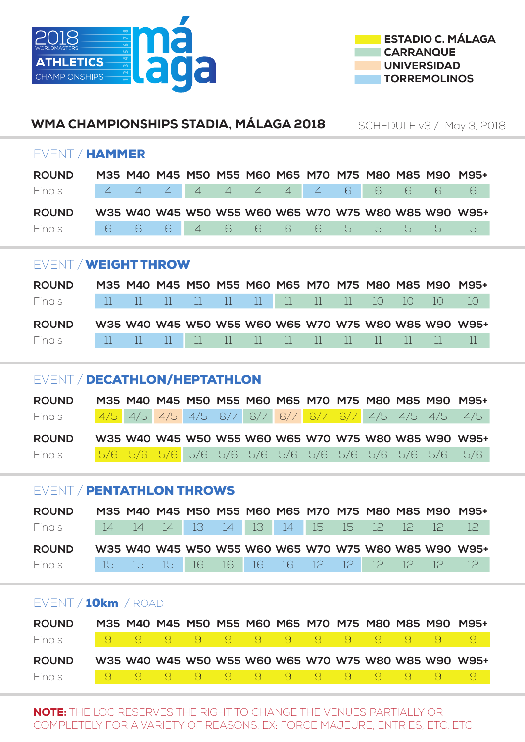



# EVENT / HAMMER **ROUND M35 M40 M45 M50 M55 M60 M65 M70 M75 M80 M85 M90 M95+** Finals 4 4 4 4 4 4 4 4 6 6 6 6 6 **ROUND W35 W40 W45 W50 W55 W60 W65 W70 W75 W80 W85 W90 W95+** Finals 6 6 6 4 6 6 6 6 5 5 5 5 5 EVENT / WEIGHT THROW **ROUND M35 M40 M45 M50 M55 M60 M65 M70 M75 M80 M85 M90 M95+** Finals 11 11 11 11 11 11 11 11 11 10 10 10 10 **ROUND W35 W40 W45 W50 W55 W60 W65 W70 W75 W80 W85 W90 W95+** Finals 11 11 11 11 11 11 11 11 11 11 11 11 11 EVENT / DECATHLON/HEPTATHLON WMA CHAMPIONSHIPS STADIA, MÁLAGA 2018 SCHEDULE v3 / May 3, 2018

| <b>ROUND</b> |  |  |  |  |  |  | M35 M40 M45 M50 M55 M60 M65 M70 M75 M80 M85 M90 M95+ |
|--------------|--|--|--|--|--|--|------------------------------------------------------|
| Finals       |  |  |  |  |  |  | 4/5 4/5 4/5 4/5 6/7 6/7 6/7 6/7 6/7 4/5 4/5 4/5 4/5  |
|              |  |  |  |  |  |  |                                                      |
| <b>ROUND</b> |  |  |  |  |  |  | W35 W40 W45 W50 W55 W60 W65 W70 W75 W80 W85 W90 W95+ |

# EVENT / PENTATHLON THROWS

| <b>ROUND</b> |  |  |  |  |  |  | M35 M40 M45 M50 M55 M60 M65 M70 M75 M80 M85 M90 M95+ |
|--------------|--|--|--|--|--|--|------------------------------------------------------|
| Finals       |  |  |  |  |  |  | 14 14 14 13 14 13 14 15 15 12 12 12 12               |
|              |  |  |  |  |  |  |                                                      |
| <b>ROUND</b> |  |  |  |  |  |  | W35 W40 W45 W50 W55 W60 W65 W70 W75 W80 W85 W90 W95+ |

# EVENT / 10km / ROAD

| <b>ROUND</b> |  |  |  |  |  |                         | M35 M40 M45 M50 M55 M60 M65 M70 M75 M80 M85 M90 M95+ |
|--------------|--|--|--|--|--|-------------------------|------------------------------------------------------|
| Finals -     |  |  |  |  |  |                         |                                                      |
| <b>ROUND</b> |  |  |  |  |  |                         | W35 W40 W45 W50 W55 W60 W65 W70 W75 W80 W85 W90 W95+ |
|              |  |  |  |  |  | <u>l 99999999999999</u> |                                                      |

NOTE: THE LOC RESERVES THE RIGHT TO CHANGE THE VENUES PARTIALLY OR COMPLETELY FOR A VARIETY OF REASONS. EX: FORCE MAJEURE, ENTRIES, ETC, ETC